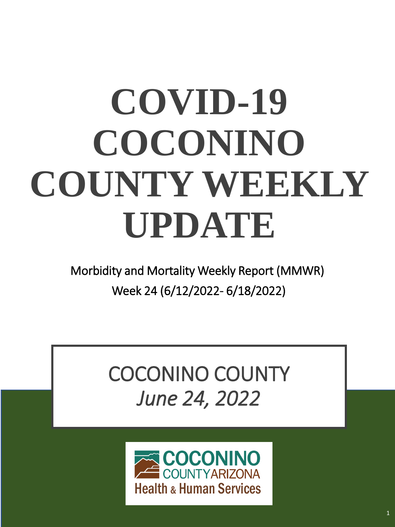# **COVID-19 COCONINO COUNTY WEEKLY UPDATE**

Morbidity and Mortality Weekly Report (MMWR) Week 24 (6/12/2022- 6/18/2022)

# COCONINO COUNTY *June 24, 2022*

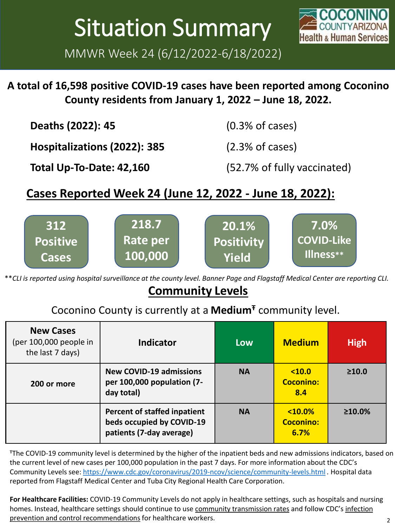# Situation Summary

MMWR Week 24 (6/12/2022-6/18/2022)



#### **A total of 16,598 positive COVID-19 cases have been reported among Coconino County residents from January 1, 2022 – June 18, 2022.**

| Deaths (2022): 45            | $(0.3%$ of cases)           |
|------------------------------|-----------------------------|
| Hospitalizations (2022): 385 | (2.3% of cases)             |
| Total Up-To-Date: 42,160     | (52.7% of fully vaccinated) |

#### **Cases Reported Week 24 (June 12, 2022 - June 18, 2022):**



\*\**CLI is reported using hospital surveillance at the county level. Banner Page and Flagstaff Medical Center are reporting CLI.* 

#### **Community Levels**

#### Coconino County is currently at a **Medium<sup>Ŧ</sup>** community level.

| <b>New Cases</b><br>(per 100,000 people in<br>the last 7 days) | <b>Indicator</b>                                                                      | <b>Low</b> | <b>Medium</b>                        | <b>High</b>   |
|----------------------------------------------------------------|---------------------------------------------------------------------------------------|------------|--------------------------------------|---------------|
| 200 or more                                                    | <b>New COVID-19 admissions</b><br>per 100,000 population (7-<br>day total)            | <b>NA</b>  | 10.0<br><b>Coconino:</b><br>8.4      | $\geq 10.0$   |
|                                                                | Percent of staffed inpatient<br>beds occupied by COVID-19<br>patients (7-day average) | <b>NA</b>  | $10.0\%$<br><b>Coconino:</b><br>6.7% | $\geq 10.0\%$ |

<sup>Ŧ</sup>The COVID-19 community level is determined by the higher of the inpatient beds and new admissions indicators, based on the current level of new cases per 100,000 population in the past 7 days. For more information about the CDC's Community Levels see:<https://www.cdc.gov/coronavirus/2019-ncov/science/community-levels.html> *.* Hospital data reported from Flagstaff Medical Center and Tuba City Regional Health Care Corporation.

**For Healthcare Facilities:** COVID-19 Community Levels do not apply in healthcare settings, such as hospitals and nursing [homes. Instead, healthcare settings should continue to use](https://www.cdc.gov/coronavirus/2019-ncov/hcp/infection-control-recommendations.html) [community transmission rates](https://covid.cdc.gov/covid-data-tracker/#county-view) and follow CDC's infection prevention and control recommendations for healthcare workers.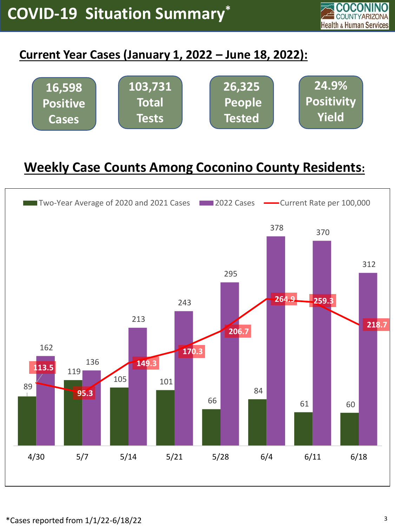

#### **Current Year Cases (January 1, 2022 – June 18, 2022):**



### **Weekly Case Counts Among Coconino County Residents:**

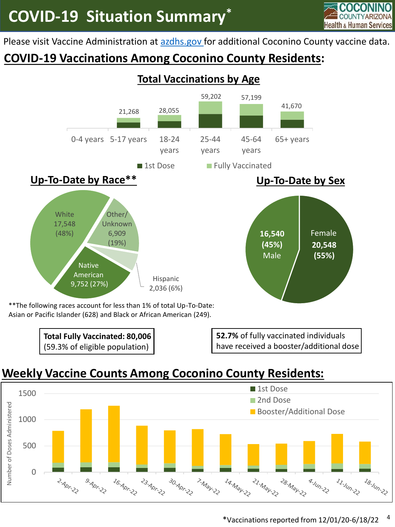

Please visit Vaccine Administration at [azdhs.gov f](https://www.azdhs.gov/preparedness/epidemiology-disease-control/infectious-disease-epidemiology/covid-19/dashboards/index.php)or additional Coconino County vaccine data.

#### **COVID-19 Vaccinations Among Coconino County Residents:**



Asian or Pacific Islander (628) and Black or African American (249).



**52.7%** of fully vaccinated individuals have received a booster/additional dose

#### **Weekly Vaccine Counts Among Coconino County Residents:**

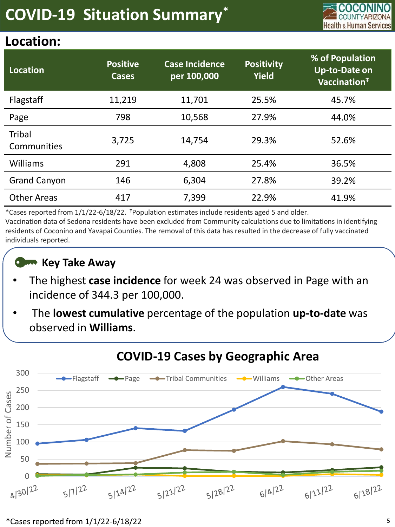

#### **Location:**

| Location                     | <b>Positive</b><br><b>Cases</b> | <b>Case Incidence</b><br>per 100,000 | <b>Positivity</b><br><b>Yield</b> | % of Population<br><b>Up-to-Date on</b><br>Vaccination <sup>+</sup> |
|------------------------------|---------------------------------|--------------------------------------|-----------------------------------|---------------------------------------------------------------------|
| Flagstaff                    | 11,219                          | 11,701                               | 25.5%                             | 45.7%                                                               |
| Page                         | 798                             | 10,568                               | 27.9%                             | 44.0%                                                               |
| <b>Tribal</b><br>Communities | 3,725                           | 14,754                               | 29.3%                             | 52.6%                                                               |
| Williams                     | 291                             | 4,808                                | 25.4%                             | 36.5%                                                               |
| <b>Grand Canyon</b>          | 146                             | 6,304                                | 27.8%                             | 39.2%                                                               |
| <b>Other Areas</b>           | 417                             | 7,399                                | 22.9%                             | 41.9%                                                               |

\*Cases reported from  $1/1/22$ -6/18/22. <sup>‡</sup>Population estimates include residents aged 5 and older. Vaccination data of Sedona residents have been excluded from Community calculations due to limitations in identifying residents of Coconino and Yavapai Counties. The removal of this data has resulted in the decrease of fully vaccinated individuals reported.

#### **Key Take Away**

- The highest **case incidence** for week 24 was observed in Page with an incidence of 344.3 per 100,000.
- The **lowest cumulative** percentage of the population **up-to-date** was observed in **Williams**.



#### **COVID-19 Cases by Geographic Area**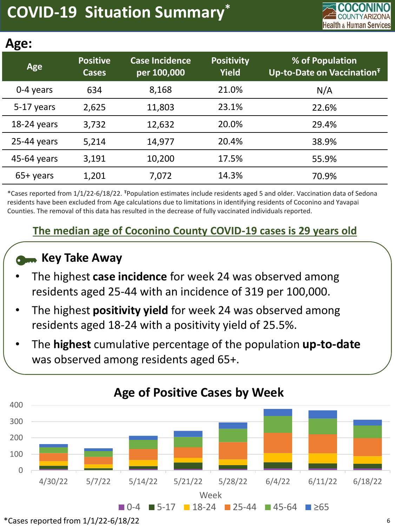

| п<br>г<br>ω<br>. . |  |
|--------------------|--|
|--------------------|--|

| י ישרי        |                                 |                                      |                                   |                                                           |
|---------------|---------------------------------|--------------------------------------|-----------------------------------|-----------------------------------------------------------|
| Age           | <b>Positive</b><br><b>Cases</b> | <b>Case Incidence</b><br>per 100,000 | <b>Positivity</b><br><b>Yield</b> | % of Population<br>Up-to-Date on Vaccination <sup>T</sup> |
| 0-4 years     | 634                             | 8,168                                | 21.0%                             | N/A                                                       |
| 5-17 years    | 2,625                           | 11,803                               | 23.1%                             | 22.6%                                                     |
| $18-24$ years | 3,732                           | 12,632                               | 20.0%                             | 29.4%                                                     |
| $25-44$ years | 5,214                           | 14,977                               | 20.4%                             | 38.9%                                                     |
| 45-64 years   | 3,191                           | 10,200                               | 17.5%                             | 55.9%                                                     |
| $65+$ years   | 1,201                           | 7,072                                | 14.3%                             | 70.9%                                                     |

\*Cases reported from 1/1/22-6/18/22. <sup>Ŧ</sup>Population estimates include residents aged 5 and older. Vaccination data of Sedona residents have been excluded from Age calculations due to limitations in identifying residents of Coconino and Yavapai Counties. The removal of this data has resulted in the decrease of fully vaccinated individuals reported.

#### **The median age of Coconino County COVID-19 cases is 29 years old**

#### **Key Take Away**

- The highest **case incidence** for week 24 was observed among residents aged 25-44 with an incidence of 319 per 100,000.
- The highest **positivity yield** for week 24 was observed among residents aged 18-24 with a positivity yield of 25.5%.
- The **highest** cumulative percentage of the population **up-to-date**  was observed among residents aged 65+.



 $*$ Cases reported from  $1/1/22$ -6/18/22  $\qquad \qquad \qquad$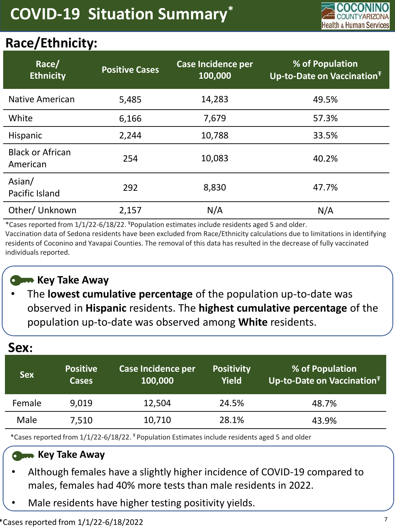

### **Race/Ethnicity:**

| Race/<br><b>Ethnicity</b>           | <b>Positive Cases</b> | <b>Case Incidence per</b><br>100,000 | % of Population<br>Up-to-Date on Vaccination <sup>T</sup> |
|-------------------------------------|-----------------------|--------------------------------------|-----------------------------------------------------------|
| <b>Native American</b>              | 5,485                 | 14,283                               | 49.5%                                                     |
| White                               | 6,166                 | 7,679                                | 57.3%                                                     |
| Hispanic                            | 2,244                 | 10,788                               | 33.5%                                                     |
| <b>Black or African</b><br>American | 254                   | 10,083                               | 40.2%                                                     |
| Asian/<br>Pacific Island            | 292                   | 8,830                                | 47.7%                                                     |
| Other/ Unknown                      | 2,157                 | N/A                                  | N/A                                                       |

\*Cases reported from  $1/1/22$ -6/18/22. <sup>‡</sup>Population estimates include residents aged 5 and older.

Vaccination data of Sedona residents have been excluded from Race/Ethnicity calculations due to limitations in identifying residents of Coconino and Yavapai Counties. The removal of this data has resulted in the decrease of fully vaccinated individuals reported.

#### **Com** Key Take Away

• The **lowest cumulative percentage** of the population up-to-date was observed in **Hispanic** residents. The **highest cumulative percentage** of the population up-to-date was observed among **White** residents.

| Sex:       |                                 |                                      |                                   |                                                           |
|------------|---------------------------------|--------------------------------------|-----------------------------------|-----------------------------------------------------------|
| <b>Sex</b> | <b>Positive</b><br><b>Cases</b> | <b>Case Incidence per</b><br>100,000 | <b>Positivity</b><br><b>Yield</b> | % of Population<br>Up-to-Date on Vaccination <sup>T</sup> |
| Female     | 9,019                           | 12,504                               | 24.5%                             | 48.7%                                                     |
| Male       | 7,510                           | 10,710                               | 28.1%                             | 43.9%                                                     |

\*Cases reported from 1/1/22-6/18/22. <sup>#</sup> Population Estimates include residents aged 5 and older

#### **Commence Away**

- Although females have a slightly higher incidence of COVID-19 compared to males, females had 40% more tests than male residents in 2022.
- Male residents have higher testing positivity yields.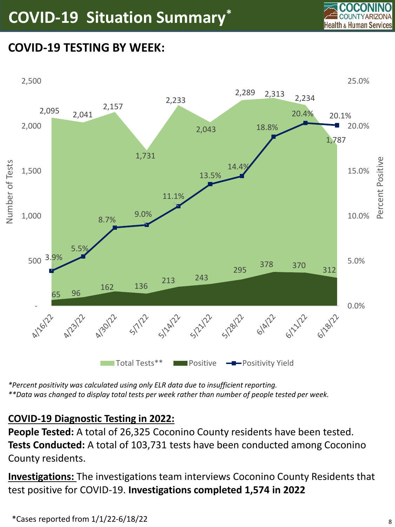

#### **COVID-19 TESTING BY WEEK:**



*\*Percent positivity was calculated using only ELR data due to insufficient reporting. \*\*Data was changed to display total tests per week rather than number of people tested per week.*

#### **COVID-19 Diagnostic Testing in 2022:**

**People Tested:** A total of 26,325 Coconino County residents have been tested. **Tests Conducted:** A total of 103,731 tests have been conducted among Coconino County residents.

**Investigations:** The investigations team interviews Coconino County Residents that test positive for COVID-19. **Investigations completed 1,574 in 2022**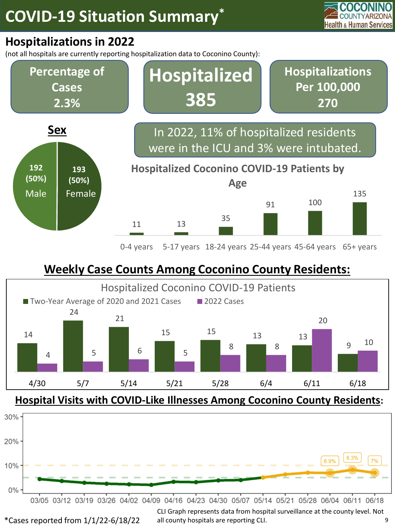

#### **Hospitalizations in 2022**

(not all hospitals are currently reporting hospitalization data to Coconino County):



0-4 years 5-17 years 18-24 years 25-44 years 45-64 years 65+ years

#### **Weekly Case Counts Among Coconino County Residents:**



**Hospital Visits with COVID-Like Illnesses Among Coconino County Residents:**



CLI Graph represents data from hospital surveillance at the county level. Not \*Cases reported from 1/1/22-6/18/22 all county hospitals are reporting CLI. 9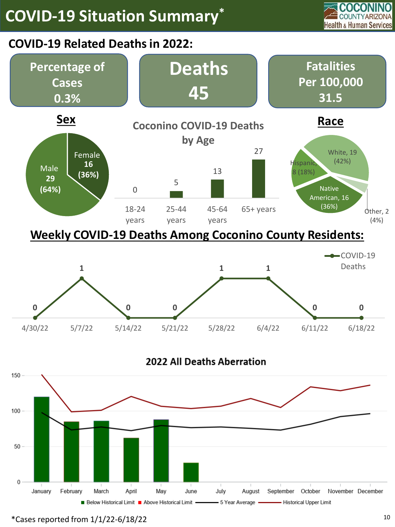

#### **COVID-19 Related Deaths in 2022:**









 $*$ Cases reported from  $1/1/22$ -6/18/22